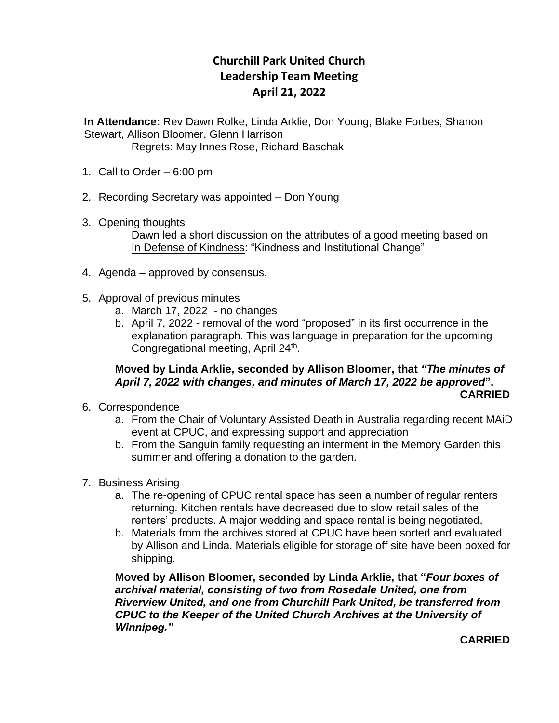## **Churchill Park United Church Leadership Team Meeting April 21, 2022**

 **In Attendance:** Rev Dawn Rolke, Linda Arklie, Don Young, Blake Forbes, Shanon Stewart, Allison Bloomer, Glenn Harrison

Regrets: May Innes Rose, Richard Baschak

- 1. Call to Order 6:00 pm
- 2. Recording Secretary was appointed Don Young
- 3. Opening thoughts Dawn led a short discussion on the attributes of a good meeting based on In Defense of Kindness: "Kindness and Institutional Change"
- 4. Agenda approved by consensus.
- 5. Approval of previous minutes
	- a. March 17, 2022 no changes
	- b. April 7, 2022 removal of the word "proposed" in its first occurrence in the explanation paragraph. This was language in preparation for the upcoming Congregational meeting, April 24<sup>th</sup>.

## **Moved by Linda Arklie, seconded by Allison Bloomer, that** *"The minutes of April 7, 2022 with changes, and minutes of March 17, 2022 be approved***". CARRIED**

- 6. Correspondence
	- a. From the Chair of Voluntary Assisted Death in Australia regarding recent MAiD event at CPUC, and expressing support and appreciation
	- b. From the Sanguin family requesting an interment in the Memory Garden this summer and offering a donation to the garden.
- 7. Business Arising
	- a. The re-opening of CPUC rental space has seen a number of regular renters returning. Kitchen rentals have decreased due to slow retail sales of the renters' products. A major wedding and space rental is being negotiated.
	- b. Materials from the archives stored at CPUC have been sorted and evaluated by Allison and Linda. Materials eligible for storage off site have been boxed for shipping.

**Moved by Allison Bloomer, seconded by Linda Arklie, that "***Four boxes of archival material, consisting of two from Rosedale United, one from Riverview United, and one from Churchill Park United, be transferred from CPUC to the Keeper of the United Church Archives at the University of Winnipeg."*

**CARRIED**